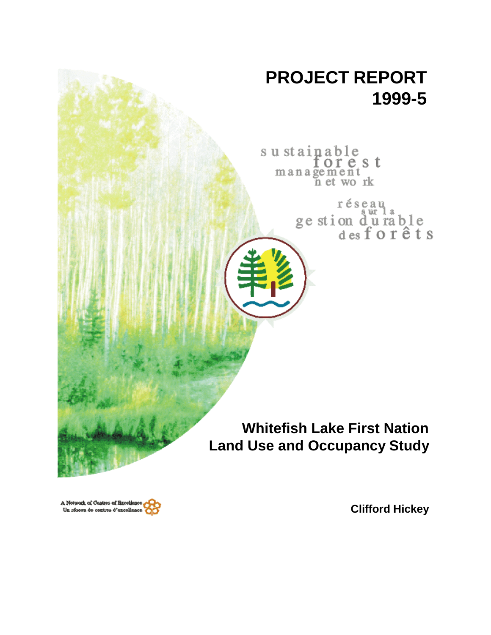

A Network of Centres of Baceliance Un réseau de centres d'excellence

**Clifford Hickey**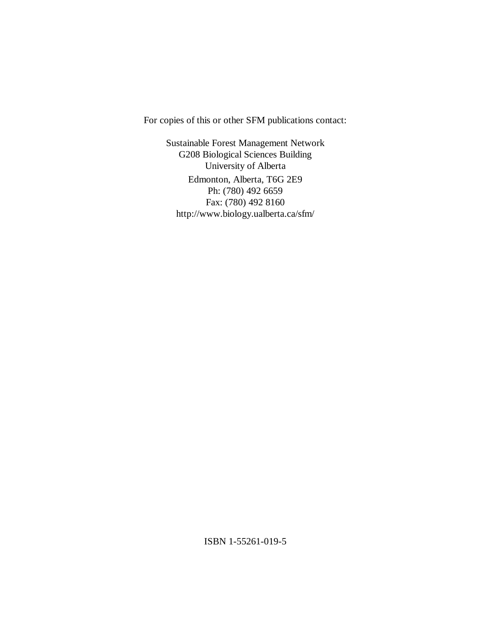For copies of this or other SFM publications contact:

Sustainable Forest Management Network G208 Biological Sciences Building University of Alberta Edmonton, Alberta, T6G 2E9 Ph: (780) 492 6659 Fax: (780) 492 8160 http://www.biology.ualberta.ca/sfm/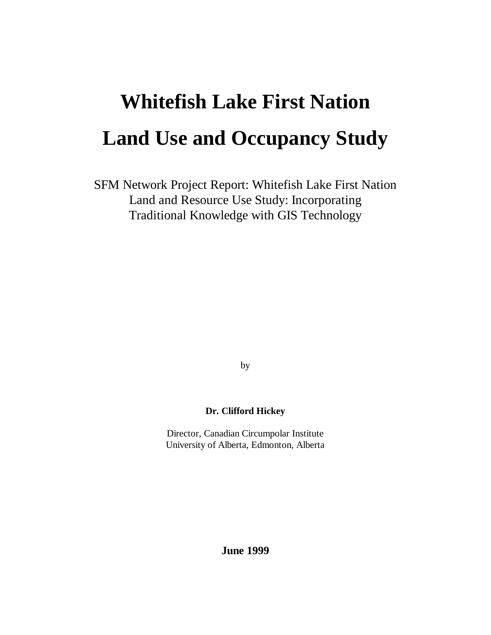# **Whitefish Lake First Nation Land Use and Occupancy Study**

SFM Network Project Report: Whitefish Lake First Nation Land and Resource Use Study: Incorporating Traditional Knowledge with GIS Technology

by

## **Dr. Clifford Hickey**

Director, Canadian Circumpolar Institute University of Alberta, Edmonton, Alberta

**June 1999**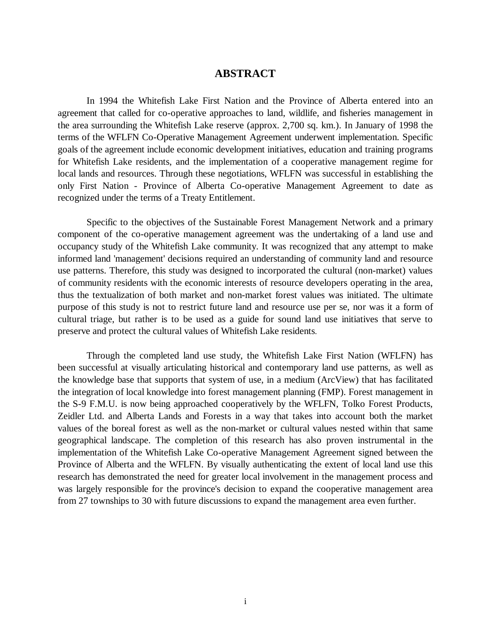# **ABSTRACT**

In 1994 the Whitefish Lake First Nation and the Province of Alberta entered into an agreement that called for co-operative approaches to land, wildlife, and fisheries management in the area surrounding the Whitefish Lake reserve (approx. 2,700 sq. km.). In January of 1998 the terms of the WFLFN Co-Operative Management Agreement underwent implementation. Specific goals of the agreement include economic development initiatives, education and training programs for Whitefish Lake residents, and the implementation of a cooperative management regime for local lands and resources. Through these negotiations, WFLFN was successful in establishing the only First Nation - Province of Alberta Co-operative Management Agreement to date as recognized under the terms of a Treaty Entitlement.

 Specific to the objectives of the Sustainable Forest Management Network and a primary component of the co-operative management agreement was the undertaking of a land use and occupancy study of the Whitefish Lake community. It was recognized that any attempt to make informed land 'management' decisions required an understanding of community land and resource use patterns. Therefore, this study was designed to incorporated the cultural (non-market) values of community residents with the economic interests of resource developers operating in the area, thus the textualization of both market and non-market forest values was initiated. The ultimate purpose of this study is not to restrict future land and resource use per se, nor was it a form of cultural triage, but rather is to be used as a guide for sound land use initiatives that serve to preserve and protect the cultural values of Whitefish Lake residents.

Through the completed land use study, the Whitefish Lake First Nation (WFLFN) has been successful at visually articulating historical and contemporary land use patterns, as well as the knowledge base that supports that system of use, in a medium (ArcView) that has facilitated the integration of local knowledge into forest management planning (FMP). Forest management in the S-9 F.M.U. is now being approached cooperatively by the WFLFN, Tolko Forest Products, Zeidler Ltd. and Alberta Lands and Forests in a way that takes into account both the market values of the boreal forest as well as the non-market or cultural values nested within that same geographical landscape. The completion of this research has also proven instrumental in the implementation of the Whitefish Lake Co-operative Management Agreement signed between the Province of Alberta and the WFLFN. By visually authenticating the extent of local land use this research has demonstrated the need for greater local involvement in the management process and was largely responsible for the province's decision to expand the cooperative management area from 27 townships to 30 with future discussions to expand the management area even further.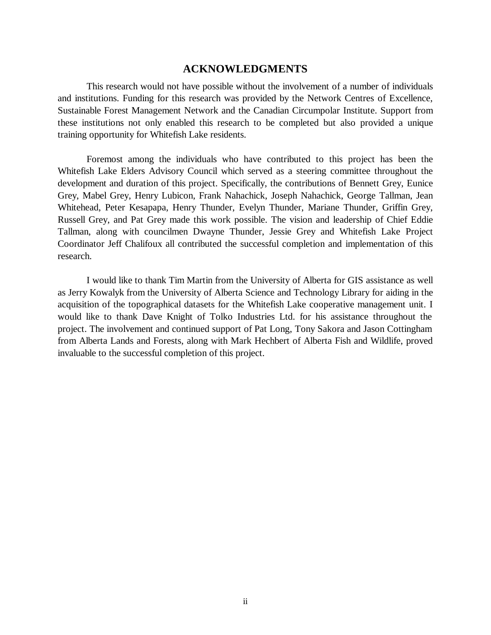### **ACKNOWLEDGMENTS**

This research would not have possible without the involvement of a number of individuals and institutions. Funding for this research was provided by the Network Centres of Excellence, Sustainable Forest Management Network and the Canadian Circumpolar Institute. Support from these institutions not only enabled this research to be completed but also provided a unique training opportunity for Whitefish Lake residents.

Foremost among the individuals who have contributed to this project has been the Whitefish Lake Elders Advisory Council which served as a steering committee throughout the development and duration of this project. Specifically, the contributions of Bennett Grey, Eunice Grey, Mabel Grey, Henry Lubicon, Frank Nahachick, Joseph Nahachick, George Tallman, Jean Whitehead, Peter Kesapapa, Henry Thunder, Evelyn Thunder, Mariane Thunder, Griffin Grey, Russell Grey, and Pat Grey made this work possible. The vision and leadership of Chief Eddie Tallman, along with councilmen Dwayne Thunder, Jessie Grey and Whitefish Lake Project Coordinator Jeff Chalifoux all contributed the successful completion and implementation of this research.

I would like to thank Tim Martin from the University of Alberta for GIS assistance as well as Jerry Kowalyk from the University of Alberta Science and Technology Library for aiding in the acquisition of the topographical datasets for the Whitefish Lake cooperative management unit. I would like to thank Dave Knight of Tolko Industries Ltd. for his assistance throughout the project. The involvement and continued support of Pat Long, Tony Sakora and Jason Cottingham from Alberta Lands and Forests, along with Mark Hechbert of Alberta Fish and Wildlife, proved invaluable to the successful completion of this project.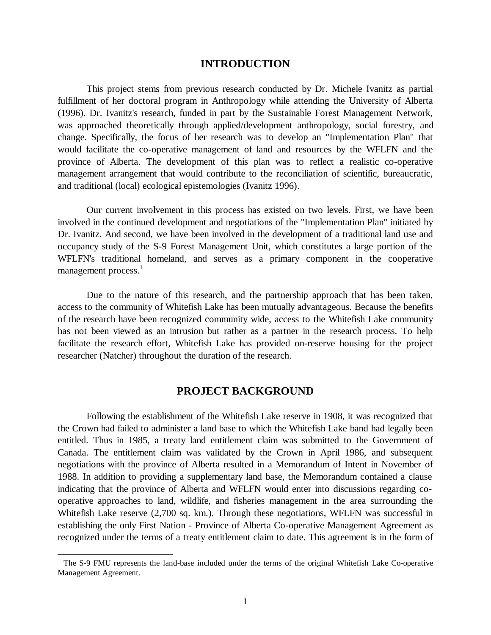## **INTRODUCTION**

This project stems from previous research conducted by Dr. Michele Ivanitz as partial fulfillment of her doctoral program in Anthropology while attending the University of Alberta (1996). Dr. Ivanitz's research, funded in part by the Sustainable Forest Management Network, was approached theoretically through applied/development anthropology, social forestry, and change. Specifically, the focus of her research was to develop an "Implementation Plan" that would facilitate the co-operative management of land and resources by the WFLFN and the province of Alberta. The development of this plan was to reflect a realistic co-operative management arrangement that would contribute to the reconciliation of scientific, bureaucratic, and traditional (local) ecological epistemologies (Ivanitz 1996).

Our current involvement in this process has existed on two levels. First, we have been involved in the continued development and negotiations of the "Implementation Plan" initiated by Dr. Ivanitz. And second, we have been involved in the development of a traditional land use and occupancy study of the S-9 Forest Management Unit, which constitutes a large portion of the WFLFN's traditional homeland, and serves as a primary component in the cooperative management process.<sup>1</sup>

Due to the nature of this research, and the partnership approach that has been taken, access to the community of Whitefish Lake has been mutually advantageous. Because the benefits of the research have been recognized community wide, access to the Whitefish Lake community has not been viewed as an intrusion but rather as a partner in the research process. To help facilitate the research effort, Whitefish Lake has provided on-reserve housing for the project researcher (Natcher) throughout the duration of the research.

## **PROJECT BACKGROUND**

Following the establishment of the Whitefish Lake reserve in 1908, it was recognized that the Crown had failed to administer a land base to which the Whitefish Lake band had legally been entitled. Thus in 1985, a treaty land entitlement claim was submitted to the Government of Canada. The entitlement claim was validated by the Crown in April 1986, and subsequent negotiations with the province of Alberta resulted in a Memorandum of Intent in November of 1988. In addition to providing a supplementary land base, the Memorandum contained a clause indicating that the province of Alberta and WFLFN would enter into discussions regarding cooperative approaches to land, wildlife, and fisheries management in the area surrounding the Whitefish Lake reserve (2,700 sq. km.). Through these negotiations, WFLFN was successful in establishing the only First Nation - Province of Alberta Co-operative Management Agreement as recognized under the terms of a treaty entitlement claim to date. This agreement is in the form of

 $\overline{a}$ 

<sup>&</sup>lt;sup>1</sup> The S-9 FMU represents the land-base included under the terms of the original Whitefish Lake Co-operative Management Agreement.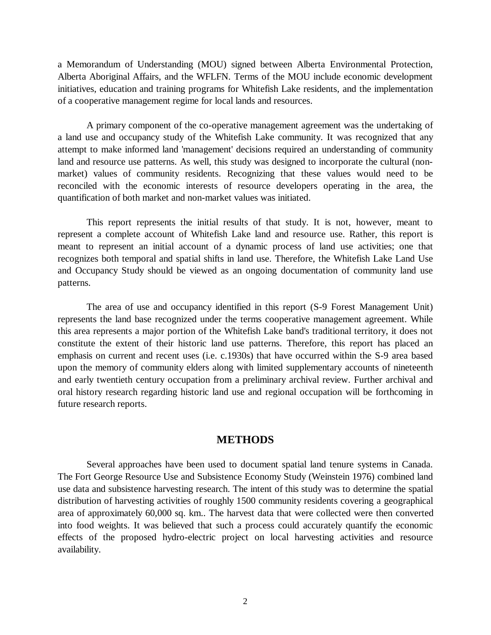a Memorandum of Understanding (MOU) signed between Alberta Environmental Protection, Alberta Aboriginal Affairs, and the WFLFN. Terms of the MOU include economic development initiatives, education and training programs for Whitefish Lake residents, and the implementation of a cooperative management regime for local lands and resources.

A primary component of the co-operative management agreement was the undertaking of a land use and occupancy study of the Whitefish Lake community. It was recognized that any attempt to make informed land 'management' decisions required an understanding of community land and resource use patterns. As well, this study was designed to incorporate the cultural (nonmarket) values of community residents. Recognizing that these values would need to be reconciled with the economic interests of resource developers operating in the area, the quantification of both market and non-market values was initiated.

This report represents the initial results of that study. It is not, however, meant to represent a complete account of Whitefish Lake land and resource use. Rather, this report is meant to represent an initial account of a dynamic process of land use activities; one that recognizes both temporal and spatial shifts in land use. Therefore, the Whitefish Lake Land Use and Occupancy Study should be viewed as an ongoing documentation of community land use patterns.

The area of use and occupancy identified in this report (S-9 Forest Management Unit) represents the land base recognized under the terms cooperative management agreement. While this area represents a major portion of the Whitefish Lake band's traditional territory, it does not constitute the extent of their historic land use patterns. Therefore, this report has placed an emphasis on current and recent uses (i.e. c.1930s) that have occurred within the S-9 area based upon the memory of community elders along with limited supplementary accounts of nineteenth and early twentieth century occupation from a preliminary archival review. Further archival and oral history research regarding historic land use and regional occupation will be forthcoming in future research reports.

## **METHODS**

Several approaches have been used to document spatial land tenure systems in Canada. The Fort George Resource Use and Subsistence Economy Study (Weinstein 1976) combined land use data and subsistence harvesting research. The intent of this study was to determine the spatial distribution of harvesting activities of roughly 1500 community residents covering a geographical area of approximately 60,000 sq. km.. The harvest data that were collected were then converted into food weights. It was believed that such a process could accurately quantify the economic effects of the proposed hydro-electric project on local harvesting activities and resource availability.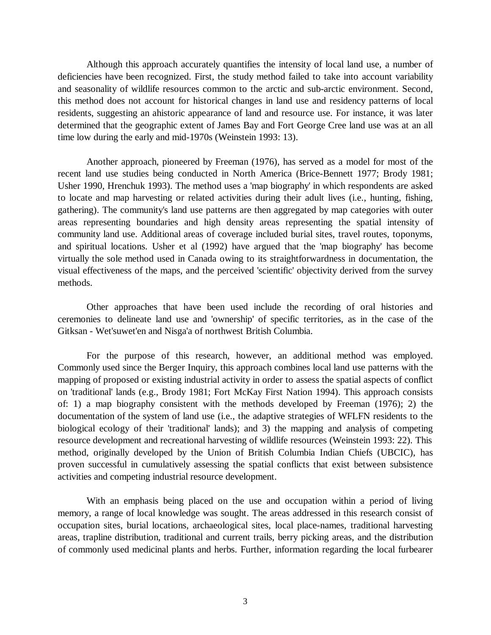Although this approach accurately quantifies the intensity of local land use, a number of deficiencies have been recognized. First, the study method failed to take into account variability and seasonality of wildlife resources common to the arctic and sub-arctic environment. Second, this method does not account for historical changes in land use and residency patterns of local residents, suggesting an ahistoric appearance of land and resource use. For instance, it was later determined that the geographic extent of James Bay and Fort George Cree land use was at an all time low during the early and mid-1970s (Weinstein 1993: 13).

Another approach, pioneered by Freeman (1976), has served as a model for most of the recent land use studies being conducted in North America (Brice-Bennett 1977; Brody 1981; Usher 1990, Hrenchuk 1993). The method uses a 'map biography' in which respondents are asked to locate and map harvesting or related activities during their adult lives (i.e., hunting, fishing, gathering). The community's land use patterns are then aggregated by map categories with outer areas representing boundaries and high density areas representing the spatial intensity of community land use. Additional areas of coverage included burial sites, travel routes, toponyms, and spiritual locations. Usher et al (1992) have argued that the 'map biography' has become virtually the sole method used in Canada owing to its straightforwardness in documentation, the visual effectiveness of the maps, and the perceived 'scientific' objectivity derived from the survey methods.

Other approaches that have been used include the recording of oral histories and ceremonies to delineate land use and 'ownership' of specific territories, as in the case of the Gitksan - Wet'suwet'en and Nisga'a of northwest British Columbia.

For the purpose of this research, however, an additional method was employed. Commonly used since the Berger Inquiry, this approach combines local land use patterns with the mapping of proposed or existing industrial activity in order to assess the spatial aspects of conflict on 'traditional' lands (e.g., Brody 1981; Fort McKay First Nation 1994). This approach consists of: 1) a map biography consistent with the methods developed by Freeman (1976); 2) the documentation of the system of land use (i.e., the adaptive strategies of WFLFN residents to the biological ecology of their 'traditional' lands); and 3) the mapping and analysis of competing resource development and recreational harvesting of wildlife resources (Weinstein 1993: 22). This method, originally developed by the Union of British Columbia Indian Chiefs (UBCIC), has proven successful in cumulatively assessing the spatial conflicts that exist between subsistence activities and competing industrial resource development.

With an emphasis being placed on the use and occupation within a period of living memory, a range of local knowledge was sought. The areas addressed in this research consist of occupation sites, burial locations, archaeological sites, local place-names, traditional harvesting areas, trapline distribution, traditional and current trails, berry picking areas, and the distribution of commonly used medicinal plants and herbs. Further, information regarding the local furbearer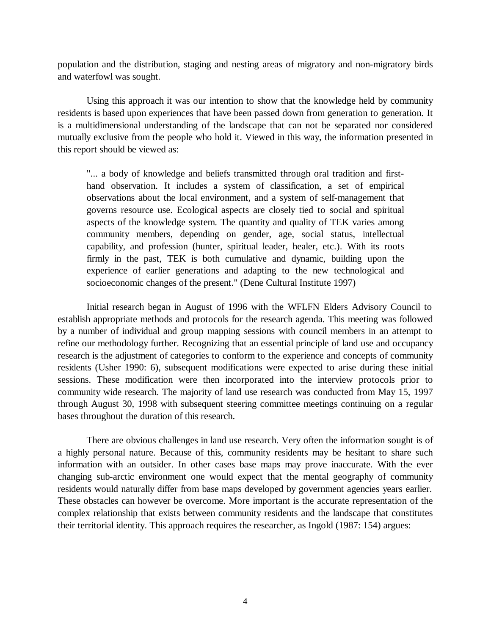population and the distribution, staging and nesting areas of migratory and non-migratory birds and waterfowl was sought.

Using this approach it was our intention to show that the knowledge held by community residents is based upon experiences that have been passed down from generation to generation. It is a multidimensional understanding of the landscape that can not be separated nor considered mutually exclusive from the people who hold it. Viewed in this way, the information presented in this report should be viewed as:

"... a body of knowledge and beliefs transmitted through oral tradition and firsthand observation. It includes a system of classification, a set of empirical observations about the local environment, and a system of self-management that governs resource use. Ecological aspects are closely tied to social and spiritual aspects of the knowledge system. The quantity and quality of TEK varies among community members, depending on gender, age, social status, intellectual capability, and profession (hunter, spiritual leader, healer, etc.). With its roots firmly in the past, TEK is both cumulative and dynamic, building upon the experience of earlier generations and adapting to the new technological and socioeconomic changes of the present." (Dene Cultural Institute 1997)

Initial research began in August of 1996 with the WFLFN Elders Advisory Council to establish appropriate methods and protocols for the research agenda. This meeting was followed by a number of individual and group mapping sessions with council members in an attempt to refine our methodology further. Recognizing that an essential principle of land use and occupancy research is the adjustment of categories to conform to the experience and concepts of community residents (Usher 1990: 6), subsequent modifications were expected to arise during these initial sessions. These modification were then incorporated into the interview protocols prior to community wide research. The majority of land use research was conducted from May 15, 1997 through August 30, 1998 with subsequent steering committee meetings continuing on a regular bases throughout the duration of this research.

There are obvious challenges in land use research. Very often the information sought is of a highly personal nature. Because of this, community residents may be hesitant to share such information with an outsider. In other cases base maps may prove inaccurate. With the ever changing sub-arctic environment one would expect that the mental geography of community residents would naturally differ from base maps developed by government agencies years earlier. These obstacles can however be overcome. More important is the accurate representation of the complex relationship that exists between community residents and the landscape that constitutes their territorial identity. This approach requires the researcher, as Ingold (1987: 154) argues: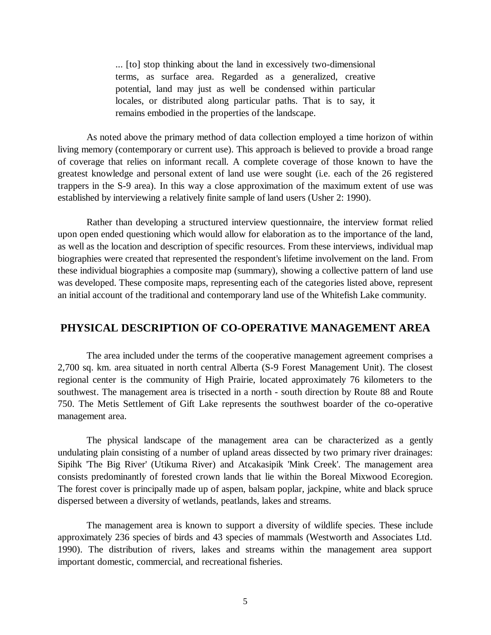... [to] stop thinking about the land in excessively two-dimensional terms, as surface area. Regarded as a generalized, creative potential, land may just as well be condensed within particular locales, or distributed along particular paths. That is to say, it remains embodied in the properties of the landscape.

As noted above the primary method of data collection employed a time horizon of within living memory (contemporary or current use). This approach is believed to provide a broad range of coverage that relies on informant recall. A complete coverage of those known to have the greatest knowledge and personal extent of land use were sought (i.e. each of the 26 registered trappers in the S-9 area). In this way a close approximation of the maximum extent of use was established by interviewing a relatively finite sample of land users (Usher 2: 1990).

Rather than developing a structured interview questionnaire, the interview format relied upon open ended questioning which would allow for elaboration as to the importance of the land, as well as the location and description of specific resources. From these interviews, individual map biographies were created that represented the respondent's lifetime involvement on the land. From these individual biographies a composite map (summary), showing a collective pattern of land use was developed. These composite maps, representing each of the categories listed above, represent an initial account of the traditional and contemporary land use of the Whitefish Lake community.

# **PHYSICAL DESCRIPTION OF CO-OPERATIVE MANAGEMENT AREA**

The area included under the terms of the cooperative management agreement comprises a 2,700 sq. km. area situated in north central Alberta (S-9 Forest Management Unit). The closest regional center is the community of High Prairie, located approximately 76 kilometers to the southwest. The management area is trisected in a north - south direction by Route 88 and Route 750. The Metis Settlement of Gift Lake represents the southwest boarder of the co-operative management area.

The physical landscape of the management area can be characterized as a gently undulating plain consisting of a number of upland areas dissected by two primary river drainages: Sipihk 'The Big River' (Utikuma River) and Atcakasipik 'Mink Creek'. The management area consists predominantly of forested crown lands that lie within the Boreal Mixwood Ecoregion. The forest cover is principally made up of aspen, balsam poplar, jackpine, white and black spruce dispersed between a diversity of wetlands, peatlands, lakes and streams.

The management area is known to support a diversity of wildlife species. These include approximately 236 species of birds and 43 species of mammals (Westworth and Associates Ltd. 1990). The distribution of rivers, lakes and streams within the management area support important domestic, commercial, and recreational fisheries.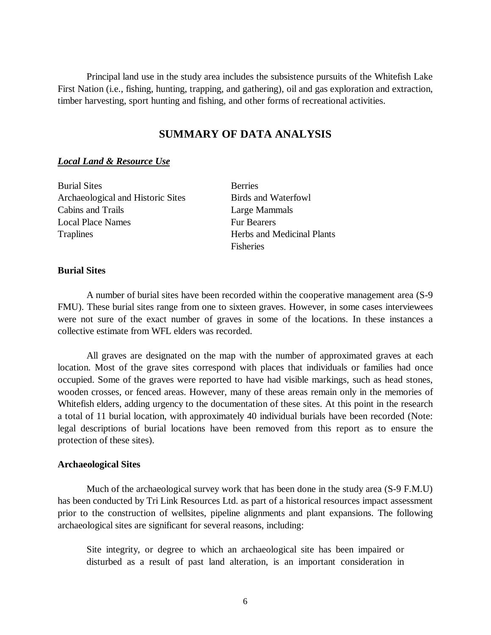Principal land use in the study area includes the subsistence pursuits of the Whitefish Lake First Nation (i.e., fishing, hunting, trapping, and gathering), oil and gas exploration and extraction, timber harvesting, sport hunting and fishing, and other forms of recreational activities.

# **SUMMARY OF DATA ANALYSIS**

## *Local Land & Resource Use*

Burial Sites Berries Archaeological and Historic Sites Birds and Waterfowl Cabins and Trails Large Mammals Local Place Names Fur Bearers Traplines Herbs and Medicinal Plants

Fisheries

## **Burial Sites**

A number of burial sites have been recorded within the cooperative management area (S-9 FMU). These burial sites range from one to sixteen graves. However, in some cases interviewees were not sure of the exact number of graves in some of the locations. In these instances a collective estimate from WFL elders was recorded.

All graves are designated on the map with the number of approximated graves at each location. Most of the grave sites correspond with places that individuals or families had once occupied. Some of the graves were reported to have had visible markings, such as head stones, wooden crosses, or fenced areas. However, many of these areas remain only in the memories of Whitefish elders, adding urgency to the documentation of these sites. At this point in the research a total of 11 burial location, with approximately 40 individual burials have been recorded (Note: legal descriptions of burial locations have been removed from this report as to ensure the protection of these sites).

## **Archaeological Sites**

Much of the archaeological survey work that has been done in the study area (S-9 F.M.U) has been conducted by Tri Link Resources Ltd. as part of a historical resources impact assessment prior to the construction of wellsites, pipeline alignments and plant expansions. The following archaeological sites are significant for several reasons, including:

Site integrity, or degree to which an archaeological site has been impaired or disturbed as a result of past land alteration, is an important consideration in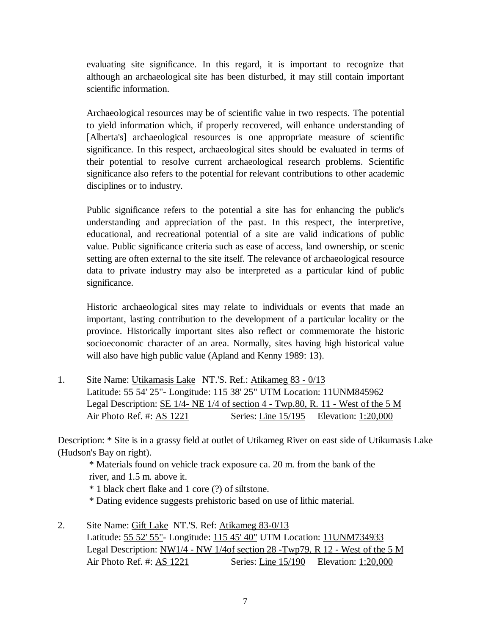evaluating site significance. In this regard, it is important to recognize that although an archaeological site has been disturbed, it may still contain important scientific information.

Archaeological resources may be of scientific value in two respects. The potential to yield information which, if properly recovered, will enhance understanding of [Alberta's] archaeological resources is one appropriate measure of scientific significance. In this respect, archaeological sites should be evaluated in terms of their potential to resolve current archaeological research problems. Scientific significance also refers to the potential for relevant contributions to other academic disciplines or to industry.

Public significance refers to the potential a site has for enhancing the public's understanding and appreciation of the past. In this respect, the interpretive, educational, and recreational potential of a site are valid indications of public value. Public significance criteria such as ease of access, land ownership, or scenic setting are often external to the site itself. The relevance of archaeological resource data to private industry may also be interpreted as a particular kind of public significance.

Historic archaeological sites may relate to individuals or events that made an important, lasting contribution to the development of a particular locality or the province. Historically important sites also reflect or commemorate the historic socioeconomic character of an area. Normally, sites having high historical value will also have high public value (Apland and Kenny 1989: 13).

1. Site Name: Utikamasis Lake NT.'S. Ref.: Atikameg 83 - 0/13 Latitude: 55 54' 25"- Longitude: 115 38' 25" UTM Location: 11UNM845962 Legal Description: SE 1/4- NE 1/4 of section 4 - Twp.80, R. 11 - West of the 5 M Air Photo Ref. #: AS 1221 Series: Line 15/195 Elevation: 1:20,000

Description: \* Site is in a grassy field at outlet of Utikameg River on east side of Utikumasis Lake (Hudson's Bay on right).

 \* Materials found on vehicle track exposure ca. 20 m. from the bank of the river, and 1.5 m. above it.

\* 1 black chert flake and 1 core (?) of siltstone.

- \* Dating evidence suggests prehistoric based on use of lithic material.
- 2. Site Name: Gift Lake NT.'S. Ref: Atikameg 83-0/13 Latitude: 55 52' 55"- Longitude: 115 45' 40" UTM Location: 11UNM734933 Legal Description: NW1/4 - NW 1/4of section 28 -Twp79, R 12 - West of the 5 M Air Photo Ref. #: AS 1221 Series: Line 15/190 Elevation: 1:20,000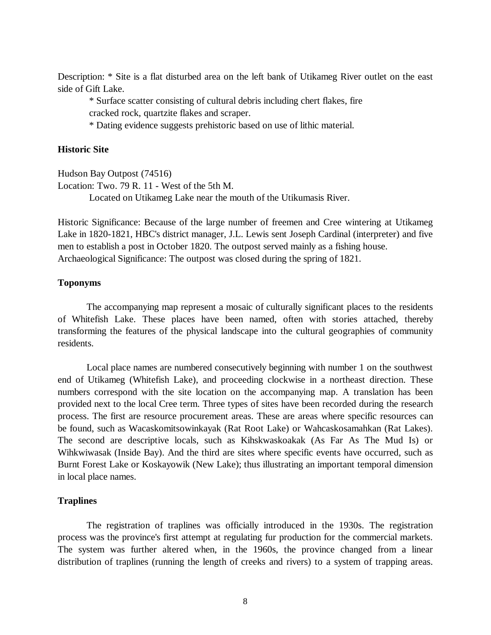Description: \* Site is a flat disturbed area on the left bank of Utikameg River outlet on the east side of Gift Lake.

 \* Surface scatter consisting of cultural debris including chert flakes, fire cracked rock, quartzite flakes and scraper.

\* Dating evidence suggests prehistoric based on use of lithic material.

## **Historic Site**

Hudson Bay Outpost (74516)

Location: Two. 79 R. 11 - West of the 5th M.

Located on Utikameg Lake near the mouth of the Utikumasis River.

Historic Significance: Because of the large number of freemen and Cree wintering at Utikameg Lake in 1820-1821, HBC's district manager, J.L. Lewis sent Joseph Cardinal (interpreter) and five men to establish a post in October 1820. The outpost served mainly as a fishing house. Archaeological Significance: The outpost was closed during the spring of 1821.

## **Toponyms**

The accompanying map represent a mosaic of culturally significant places to the residents of Whitefish Lake. These places have been named, often with stories attached, thereby transforming the features of the physical landscape into the cultural geographies of community residents.

Local place names are numbered consecutively beginning with number 1 on the southwest end of Utikameg (Whitefish Lake), and proceeding clockwise in a northeast direction. These numbers correspond with the site location on the accompanying map. A translation has been provided next to the local Cree term. Three types of sites have been recorded during the research process. The first are resource procurement areas. These are areas where specific resources can be found, such as Wacaskomitsowinkayak (Rat Root Lake) or Wahcaskosamahkan (Rat Lakes). The second are descriptive locals, such as Kihskwaskoakak (As Far As The Mud Is) or Wihkwiwasak (Inside Bay). And the third are sites where specific events have occurred, such as Burnt Forest Lake or Koskayowik (New Lake); thus illustrating an important temporal dimension in local place names.

## **Traplines**

The registration of traplines was officially introduced in the 1930s. The registration process was the province's first attempt at regulating fur production for the commercial markets. The system was further altered when, in the 1960s, the province changed from a linear distribution of traplines (running the length of creeks and rivers) to a system of trapping areas.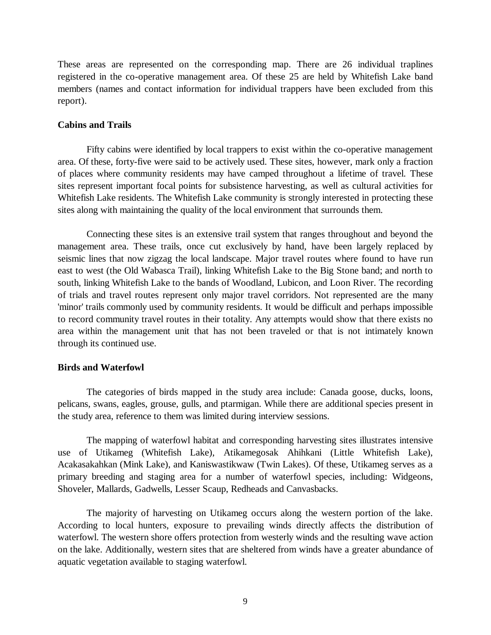These areas are represented on the corresponding map. There are 26 individual traplines registered in the co-operative management area. Of these 25 are held by Whitefish Lake band members (names and contact information for individual trappers have been excluded from this report).

#### **Cabins and Trails**

Fifty cabins were identified by local trappers to exist within the co-operative management area. Of these, forty-five were said to be actively used. These sites, however, mark only a fraction of places where community residents may have camped throughout a lifetime of travel. These sites represent important focal points for subsistence harvesting, as well as cultural activities for Whitefish Lake residents. The Whitefish Lake community is strongly interested in protecting these sites along with maintaining the quality of the local environment that surrounds them.

Connecting these sites is an extensive trail system that ranges throughout and beyond the management area. These trails, once cut exclusively by hand, have been largely replaced by seismic lines that now zigzag the local landscape. Major travel routes where found to have run east to west (the Old Wabasca Trail), linking Whitefish Lake to the Big Stone band; and north to south, linking Whitefish Lake to the bands of Woodland, Lubicon, and Loon River. The recording of trials and travel routes represent only major travel corridors. Not represented are the many 'minor' trails commonly used by community residents. It would be difficult and perhaps impossible to record community travel routes in their totality. Any attempts would show that there exists no area within the management unit that has not been traveled or that is not intimately known through its continued use.

#### **Birds and Waterfowl**

The categories of birds mapped in the study area include: Canada goose, ducks, loons, pelicans, swans, eagles, grouse, gulls, and ptarmigan. While there are additional species present in the study area, reference to them was limited during interview sessions.

The mapping of waterfowl habitat and corresponding harvesting sites illustrates intensive use of Utikameg (Whitefish Lake), Atikamegosak Ahihkani (Little Whitefish Lake), Acakasakahkan (Mink Lake), and Kaniswastikwaw (Twin Lakes). Of these, Utikameg serves as a primary breeding and staging area for a number of waterfowl species, including: Widgeons, Shoveler, Mallards, Gadwells, Lesser Scaup, Redheads and Canvasbacks.

The majority of harvesting on Utikameg occurs along the western portion of the lake. According to local hunters, exposure to prevailing winds directly affects the distribution of waterfowl. The western shore offers protection from westerly winds and the resulting wave action on the lake. Additionally, western sites that are sheltered from winds have a greater abundance of aquatic vegetation available to staging waterfowl.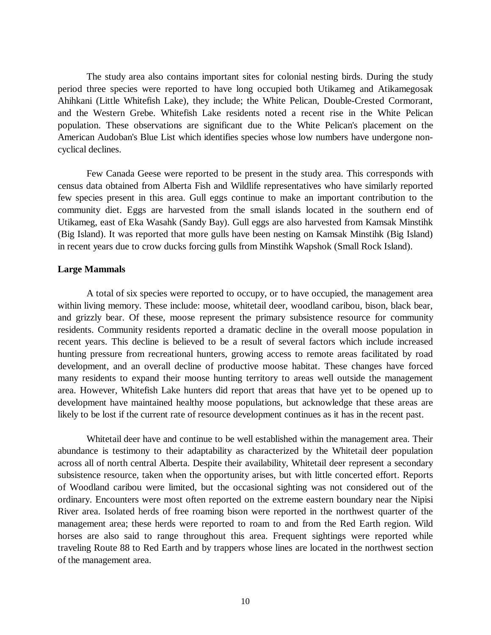The study area also contains important sites for colonial nesting birds. During the study period three species were reported to have long occupied both Utikameg and Atikamegosak Ahihkani (Little Whitefish Lake), they include; the White Pelican, Double-Crested Cormorant, and the Western Grebe. Whitefish Lake residents noted a recent rise in the White Pelican population. These observations are significant due to the White Pelican's placement on the American Audoban's Blue List which identifies species whose low numbers have undergone noncyclical declines.

Few Canada Geese were reported to be present in the study area. This corresponds with census data obtained from Alberta Fish and Wildlife representatives who have similarly reported few species present in this area. Gull eggs continue to make an important contribution to the community diet. Eggs are harvested from the small islands located in the southern end of Utikameg, east of Eka Wasahk (Sandy Bay). Gull eggs are also harvested from Kamsak Minstihk (Big Island). It was reported that more gulls have been nesting on Kamsak Minstihk (Big Island) in recent years due to crow ducks forcing gulls from Minstihk Wapshok (Small Rock Island).

#### **Large Mammals**

A total of six species were reported to occupy, or to have occupied, the management area within living memory. These include: moose, whitetail deer, woodland caribou, bison, black bear, and grizzly bear. Of these, moose represent the primary subsistence resource for community residents. Community residents reported a dramatic decline in the overall moose population in recent years. This decline is believed to be a result of several factors which include increased hunting pressure from recreational hunters, growing access to remote areas facilitated by road development, and an overall decline of productive moose habitat. These changes have forced many residents to expand their moose hunting territory to areas well outside the management area. However, Whitefish Lake hunters did report that areas that have yet to be opened up to development have maintained healthy moose populations, but acknowledge that these areas are likely to be lost if the current rate of resource development continues as it has in the recent past.

Whitetail deer have and continue to be well established within the management area. Their abundance is testimony to their adaptability as characterized by the Whitetail deer population across all of north central Alberta. Despite their availability, Whitetail deer represent a secondary subsistence resource, taken when the opportunity arises, but with little concerted effort. Reports of Woodland caribou were limited, but the occasional sighting was not considered out of the ordinary. Encounters were most often reported on the extreme eastern boundary near the Nipisi River area. Isolated herds of free roaming bison were reported in the northwest quarter of the management area; these herds were reported to roam to and from the Red Earth region. Wild horses are also said to range throughout this area. Frequent sightings were reported while traveling Route 88 to Red Earth and by trappers whose lines are located in the northwest section of the management area.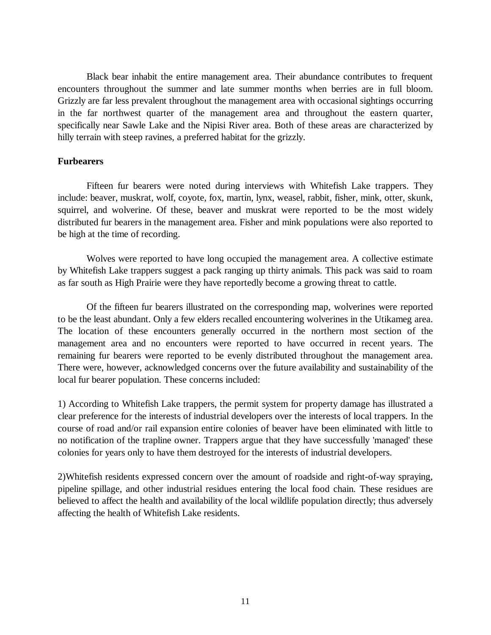Black bear inhabit the entire management area. Their abundance contributes to frequent encounters throughout the summer and late summer months when berries are in full bloom. Grizzly are far less prevalent throughout the management area with occasional sightings occurring in the far northwest quarter of the management area and throughout the eastern quarter, specifically near Sawle Lake and the Nipisi River area. Both of these areas are characterized by hilly terrain with steep ravines, a preferred habitat for the grizzly.

#### **Furbearers**

Fifteen fur bearers were noted during interviews with Whitefish Lake trappers. They include: beaver, muskrat, wolf, coyote, fox, martin, lynx, weasel, rabbit, fisher, mink, otter, skunk, squirrel, and wolverine. Of these, beaver and muskrat were reported to be the most widely distributed fur bearers in the management area. Fisher and mink populations were also reported to be high at the time of recording.

Wolves were reported to have long occupied the management area. A collective estimate by Whitefish Lake trappers suggest a pack ranging up thirty animals. This pack was said to roam as far south as High Prairie were they have reportedly become a growing threat to cattle.

Of the fifteen fur bearers illustrated on the corresponding map, wolverines were reported to be the least abundant. Only a few elders recalled encountering wolverines in the Utikameg area. The location of these encounters generally occurred in the northern most section of the management area and no encounters were reported to have occurred in recent years. The remaining fur bearers were reported to be evenly distributed throughout the management area. There were, however, acknowledged concerns over the future availability and sustainability of the local fur bearer population. These concerns included:

1) According to Whitefish Lake trappers, the permit system for property damage has illustrated a clear preference for the interests of industrial developers over the interests of local trappers. In the course of road and/or rail expansion entire colonies of beaver have been eliminated with little to no notification of the trapline owner. Trappers argue that they have successfully 'managed' these colonies for years only to have them destroyed for the interests of industrial developers.

2)Whitefish residents expressed concern over the amount of roadside and right-of-way spraying, pipeline spillage, and other industrial residues entering the local food chain. These residues are believed to affect the health and availability of the local wildlife population directly; thus adversely affecting the health of Whitefish Lake residents.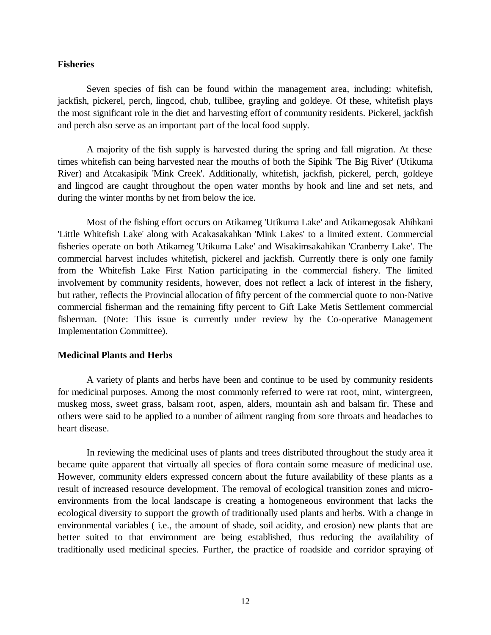#### **Fisheries**

Seven species of fish can be found within the management area, including: whitefish, jackfish, pickerel, perch, lingcod, chub, tullibee, grayling and goldeye. Of these, whitefish plays the most significant role in the diet and harvesting effort of community residents. Pickerel, jackfish and perch also serve as an important part of the local food supply.

A majority of the fish supply is harvested during the spring and fall migration. At these times whitefish can being harvested near the mouths of both the Sipihk 'The Big River' (Utikuma River) and Atcakasipik 'Mink Creek'. Additionally, whitefish, jackfish, pickerel, perch, goldeye and lingcod are caught throughout the open water months by hook and line and set nets, and during the winter months by net from below the ice.

Most of the fishing effort occurs on Atikameg 'Utikuma Lake' and Atikamegosak Ahihkani 'Little Whitefish Lake' along with Acakasakahkan 'Mink Lakes' to a limited extent. Commercial fisheries operate on both Atikameg 'Utikuma Lake' and Wisakimsakahikan 'Cranberry Lake'. The commercial harvest includes whitefish, pickerel and jackfish. Currently there is only one family from the Whitefish Lake First Nation participating in the commercial fishery. The limited involvement by community residents, however, does not reflect a lack of interest in the fishery, but rather, reflects the Provincial allocation of fifty percent of the commercial quote to non-Native commercial fisherman and the remaining fifty percent to Gift Lake Metis Settlement commercial fisherman. (Note: This issue is currently under review by the Co-operative Management Implementation Committee).

#### **Medicinal Plants and Herbs**

A variety of plants and herbs have been and continue to be used by community residents for medicinal purposes. Among the most commonly referred to were rat root, mint, wintergreen, muskeg moss, sweet grass, balsam root, aspen, alders, mountain ash and balsam fir. These and others were said to be applied to a number of ailment ranging from sore throats and headaches to heart disease.

In reviewing the medicinal uses of plants and trees distributed throughout the study area it became quite apparent that virtually all species of flora contain some measure of medicinal use. However, community elders expressed concern about the future availability of these plants as a result of increased resource development. The removal of ecological transition zones and microenvironments from the local landscape is creating a homogeneous environment that lacks the ecological diversity to support the growth of traditionally used plants and herbs. With a change in environmental variables ( i.e., the amount of shade, soil acidity, and erosion) new plants that are better suited to that environment are being established, thus reducing the availability of traditionally used medicinal species. Further, the practice of roadside and corridor spraying of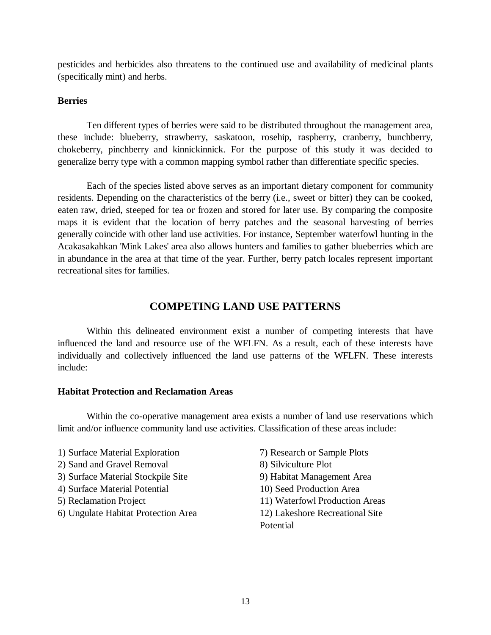pesticides and herbicides also threatens to the continued use and availability of medicinal plants (specifically mint) and herbs.

## **Berries**

Ten different types of berries were said to be distributed throughout the management area, these include: blueberry, strawberry, saskatoon, rosehip, raspberry, cranberry, bunchberry, chokeberry, pinchberry and kinnickinnick. For the purpose of this study it was decided to generalize berry type with a common mapping symbol rather than differentiate specific species.

Each of the species listed above serves as an important dietary component for community residents. Depending on the characteristics of the berry (i.e., sweet or bitter) they can be cooked, eaten raw, dried, steeped for tea or frozen and stored for later use. By comparing the composite maps it is evident that the location of berry patches and the seasonal harvesting of berries generally coincide with other land use activities. For instance, September waterfowl hunting in the Acakasakahkan 'Mink Lakes' area also allows hunters and families to gather blueberries which are in abundance in the area at that time of the year. Further, berry patch locales represent important recreational sites for families.

# **COMPETING LAND USE PATTERNS**

Within this delineated environment exist a number of competing interests that have influenced the land and resource use of the WFLFN. As a result, each of these interests have individually and collectively influenced the land use patterns of the WFLFN. These interests include:

#### **Habitat Protection and Reclamation Areas**

Within the co-operative management area exists a number of land use reservations which limit and/or influence community land use activities. Classification of these areas include:

- 1) Surface Material Exploration 7) Research or Sample Plots 2) Sand and Gravel Removal 8) Silviculture Plot 3) Surface Material Stockpile Site 9) Habitat Management Area 4) Surface Material Potential 10) Seed Production Area 5) Reclamation Project 11) Waterfowl Production Areas 6) Ungulate Habitat Protection Area 12) Lakeshore Recreational Site
- Potential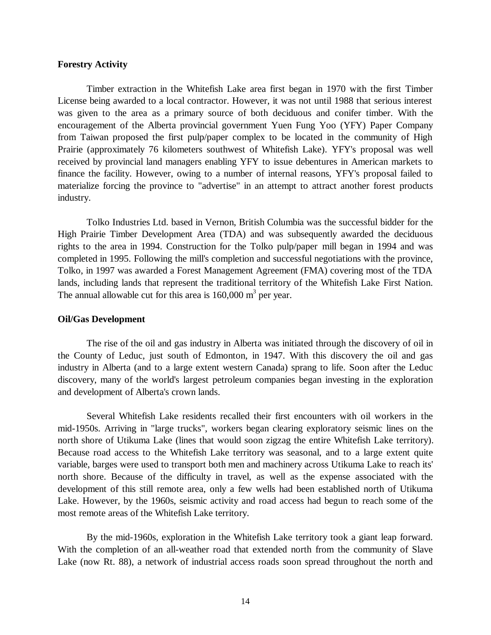#### **Forestry Activity**

Timber extraction in the Whitefish Lake area first began in 1970 with the first Timber License being awarded to a local contractor. However, it was not until 1988 that serious interest was given to the area as a primary source of both deciduous and conifer timber. With the encouragement of the Alberta provincial government Yuen Fung Yoo (YFY) Paper Company from Taiwan proposed the first pulp/paper complex to be located in the community of High Prairie (approximately 76 kilometers southwest of Whitefish Lake). YFY's proposal was well received by provincial land managers enabling YFY to issue debentures in American markets to finance the facility. However, owing to a number of internal reasons, YFY's proposal failed to materialize forcing the province to "advertise" in an attempt to attract another forest products industry.

Tolko Industries Ltd. based in Vernon, British Columbia was the successful bidder for the High Prairie Timber Development Area (TDA) and was subsequently awarded the deciduous rights to the area in 1994. Construction for the Tolko pulp/paper mill began in 1994 and was completed in 1995. Following the mill's completion and successful negotiations with the province, Tolko, in 1997 was awarded a Forest Management Agreement (FMA) covering most of the TDA lands, including lands that represent the traditional territory of the Whitefish Lake First Nation. The annual allowable cut for this area is  $160,000 \text{ m}^3$  per year.

#### **Oil/Gas Development**

The rise of the oil and gas industry in Alberta was initiated through the discovery of oil in the County of Leduc, just south of Edmonton, in 1947. With this discovery the oil and gas industry in Alberta (and to a large extent western Canada) sprang to life. Soon after the Leduc discovery, many of the world's largest petroleum companies began investing in the exploration and development of Alberta's crown lands.

Several Whitefish Lake residents recalled their first encounters with oil workers in the mid-1950s. Arriving in "large trucks", workers began clearing exploratory seismic lines on the north shore of Utikuma Lake (lines that would soon zigzag the entire Whitefish Lake territory). Because road access to the Whitefish Lake territory was seasonal, and to a large extent quite variable, barges were used to transport both men and machinery across Utikuma Lake to reach its' north shore. Because of the difficulty in travel, as well as the expense associated with the development of this still remote area, only a few wells had been established north of Utikuma Lake. However, by the 1960s, seismic activity and road access had begun to reach some of the most remote areas of the Whitefish Lake territory.

By the mid-1960s, exploration in the Whitefish Lake territory took a giant leap forward. With the completion of an all-weather road that extended north from the community of Slave Lake (now Rt. 88), a network of industrial access roads soon spread throughout the north and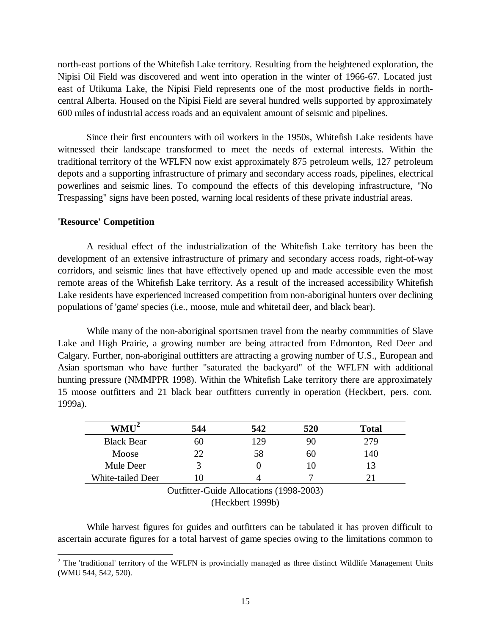north-east portions of the Whitefish Lake territory. Resulting from the heightened exploration, the Nipisi Oil Field was discovered and went into operation in the winter of 1966-67. Located just east of Utikuma Lake, the Nipisi Field represents one of the most productive fields in northcentral Alberta. Housed on the Nipisi Field are several hundred wells supported by approximately 600 miles of industrial access roads and an equivalent amount of seismic and pipelines.

Since their first encounters with oil workers in the 1950s, Whitefish Lake residents have witnessed their landscape transformed to meet the needs of external interests. Within the traditional territory of the WFLFN now exist approximately 875 petroleum wells, 127 petroleum depots and a supporting infrastructure of primary and secondary access roads, pipelines, electrical powerlines and seismic lines. To compound the effects of this developing infrastructure, "No Trespassing" signs have been posted, warning local residents of these private industrial areas.

#### **'Resource' Competition**

A residual effect of the industrialization of the Whitefish Lake territory has been the development of an extensive infrastructure of primary and secondary access roads, right-of-way corridors, and seismic lines that have effectively opened up and made accessible even the most remote areas of the Whitefish Lake territory. As a result of the increased accessibility Whitefish Lake residents have experienced increased competition from non-aboriginal hunters over declining populations of 'game' species (i.e., moose, mule and whitetail deer, and black bear).

While many of the non-aboriginal sportsmen travel from the nearby communities of Slave Lake and High Prairie, a growing number are being attracted from Edmonton, Red Deer and Calgary. Further, non-aboriginal outfitters are attracting a growing number of U.S., European and Asian sportsman who have further "saturated the backyard" of the WFLFN with additional hunting pressure (NMMPPR 1998). Within the Whitefish Lake territory there are approximately 15 moose outfitters and 21 black bear outfitters currently in operation (Heckbert, pers. com. 1999a).

| $WMU^2$           | 544  | 542 | 520 | <b>Total</b> |
|-------------------|------|-----|-----|--------------|
| <b>Black Bear</b> | 60   | 129 | 90  | 279          |
| Moose             | 22   | 58  | 60  | 140          |
| Mule Deer         |      |     | 10  | 13           |
| White-tailed Deer | ı () |     |     |              |

Outfitter-Guide Allocations (1998-2003) (Heckbert 1999b)

While harvest figures for guides and outfitters can be tabulated it has proven difficult to ascertain accurate figures for a total harvest of game species owing to the limitations common to

<sup>&</sup>lt;sup>2</sup> The 'traditional' territory of the WFLFN is provincially managed as three distinct Wildlife Management Units (WMU 544, 542, 520).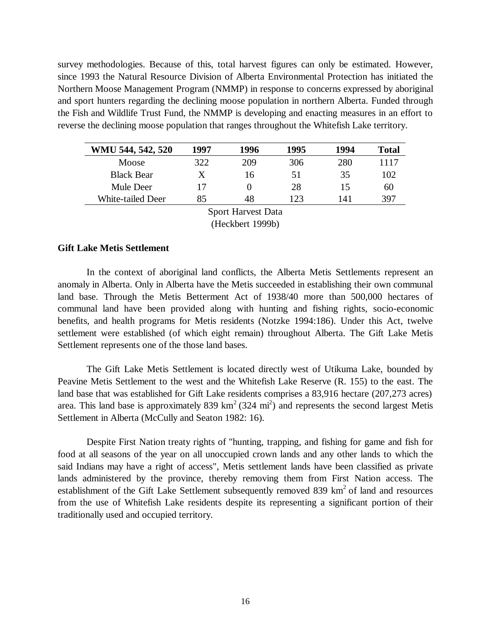survey methodologies. Because of this, total harvest figures can only be estimated. However, since 1993 the Natural Resource Division of Alberta Environmental Protection has initiated the Northern Moose Management Program (NMMP) in response to concerns expressed by aboriginal and sport hunters regarding the declining moose population in northern Alberta. Funded through the Fish and Wildlife Trust Fund, the NMMP is developing and enacting measures in an effort to reverse the declining moose population that ranges throughout the Whitefish Lake territory.

| WMU 544, 542, 520         | 1997 | 1996 | 1995 | 1994 | Total |  |  |  |
|---------------------------|------|------|------|------|-------|--|--|--|
| <b>Moose</b>              | 322  | 209  | 306  | 280  | 1117  |  |  |  |
| <b>Black Bear</b>         | X    | 16   | 51   | 35   | 102   |  |  |  |
| Mule Deer                 | 17   |      | 28   | 15   | 60    |  |  |  |
| White-tailed Deer         | 85   | 48   | 123  | 141  | 397   |  |  |  |
| <b>Sport Harvest Data</b> |      |      |      |      |       |  |  |  |

(Heckbert 1999b)

#### **Gift Lake Metis Settlement**

In the context of aboriginal land conflicts, the Alberta Metis Settlements represent an anomaly in Alberta. Only in Alberta have the Metis succeeded in establishing their own communal land base. Through the Metis Betterment Act of 1938/40 more than 500,000 hectares of communal land have been provided along with hunting and fishing rights, socio-economic benefits, and health programs for Metis residents (Notzke 1994:186). Under this Act, twelve settlement were established (of which eight remain) throughout Alberta. The Gift Lake Metis Settlement represents one of the those land bases.

The Gift Lake Metis Settlement is located directly west of Utikuma Lake, bounded by Peavine Metis Settlement to the west and the Whitefish Lake Reserve (R. 155) to the east. The land base that was established for Gift Lake residents comprises a 83,916 hectare (207,273 acres) area. This land base is approximately 839  $km^2$  (324 mi<sup>2</sup>) and represents the second largest Metis Settlement in Alberta (McCully and Seaton 1982: 16).

Despite First Nation treaty rights of "hunting, trapping, and fishing for game and fish for food at all seasons of the year on all unoccupied crown lands and any other lands to which the said Indians may have a right of access", Metis settlement lands have been classified as private lands administered by the province, thereby removing them from First Nation access. The establishment of the Gift Lake Settlement subsequently removed 839  $km<sup>2</sup>$  of land and resources from the use of Whitefish Lake residents despite its representing a significant portion of their traditionally used and occupied territory.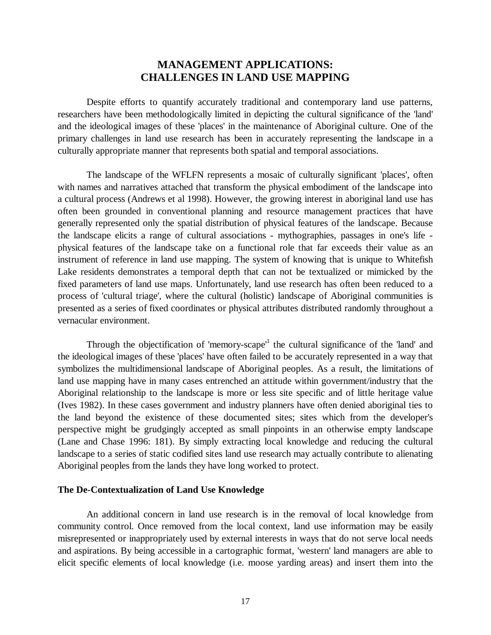# **MANAGEMENT APPLICATIONS: CHALLENGES IN LAND USE MAPPING**

Despite efforts to quantify accurately traditional and contemporary land use patterns, researchers have been methodologically limited in depicting the cultural significance of the 'land' and the ideological images of these 'places' in the maintenance of Aboriginal culture. One of the primary challenges in land use research has been in accurately representing the landscape in a culturally appropriate manner that represents both spatial and temporal associations.

The landscape of the WFLFN represents a mosaic of culturally significant 'places', often with names and narratives attached that transform the physical embodiment of the landscape into a cultural process (Andrews et al 1998). However, the growing interest in aboriginal land use has often been grounded in conventional planning and resource management practices that have generally represented only the spatial distribution of physical features of the landscape. Because the landscape elicits a range of cultural associations - mythographies, passages in one's life physical features of the landscape take on a functional role that far exceeds their value as an instrument of reference in land use mapping. The system of knowing that is unique to Whitefish Lake residents demonstrates a temporal depth that can not be textualized or mimicked by the fixed parameters of land use maps. Unfortunately, land use research has often been reduced to a process of 'cultural triage', where the cultural (holistic) landscape of Aboriginal communities is presented as a series of fixed coordinates or physical attributes distributed randomly throughout a vernacular environment.

Through the objectification of 'memory-scape'<sup>1</sup> the cultural significance of the 'land' and the ideological images of these 'places' have often failed to be accurately represented in a way that symbolizes the multidimensional landscape of Aboriginal peoples. As a result, the limitations of land use mapping have in many cases entrenched an attitude within government/industry that the Aboriginal relationship to the landscape is more or less site specific and of little heritage value (Ives 1982). In these cases government and industry planners have often denied aboriginal ties to the land beyond the existence of these documented sites; sites which from the developer's perspective might be grudgingly accepted as small pinpoints in an otherwise empty landscape (Lane and Chase 1996: 181). By simply extracting local knowledge and reducing the cultural landscape to a series of static codified sites land use research may actually contribute to alienating Aboriginal peoples from the lands they have long worked to protect.

#### **The De-Contextualization of Land Use Knowledge**

An additional concern in land use research is in the removal of local knowledge from community control. Once removed from the local context, land use information may be easily misrepresented or inappropriately used by external interests in ways that do not serve local needs and aspirations. By being accessible in a cartographic format, 'western' land managers are able to elicit specific elements of local knowledge (i.e. moose yarding areas) and insert them into the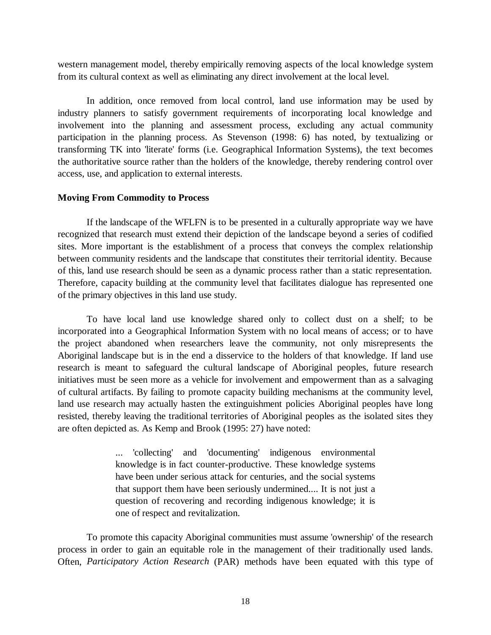western management model, thereby empirically removing aspects of the local knowledge system from its cultural context as well as eliminating any direct involvement at the local level.

In addition, once removed from local control, land use information may be used by industry planners to satisfy government requirements of incorporating local knowledge and involvement into the planning and assessment process, excluding any actual community participation in the planning process. As Stevenson (1998: 6) has noted, by textualizing or transforming TK into 'literate' forms (i.e. Geographical Information Systems), the text becomes the authoritative source rather than the holders of the knowledge, thereby rendering control over access, use, and application to external interests.

#### **Moving From Commodity to Process**

If the landscape of the WFLFN is to be presented in a culturally appropriate way we have recognized that research must extend their depiction of the landscape beyond a series of codified sites. More important is the establishment of a process that conveys the complex relationship between community residents and the landscape that constitutes their territorial identity. Because of this, land use research should be seen as a dynamic process rather than a static representation. Therefore, capacity building at the community level that facilitates dialogue has represented one of the primary objectives in this land use study.

To have local land use knowledge shared only to collect dust on a shelf; to be incorporated into a Geographical Information System with no local means of access; or to have the project abandoned when researchers leave the community, not only misrepresents the Aboriginal landscape but is in the end a disservice to the holders of that knowledge. If land use research is meant to safeguard the cultural landscape of Aboriginal peoples, future research initiatives must be seen more as a vehicle for involvement and empowerment than as a salvaging of cultural artifacts. By failing to promote capacity building mechanisms at the community level, land use research may actually hasten the extinguishment policies Aboriginal peoples have long resisted, thereby leaving the traditional territories of Aboriginal peoples as the isolated sites they are often depicted as. As Kemp and Brook (1995: 27) have noted:

> ... 'collecting' and 'documenting' indigenous environmental knowledge is in fact counter-productive. These knowledge systems have been under serious attack for centuries, and the social systems that support them have been seriously undermined.... It is not just a question of recovering and recording indigenous knowledge; it is one of respect and revitalization.

To promote this capacity Aboriginal communities must assume 'ownership' of the research process in order to gain an equitable role in the management of their traditionally used lands. Often, *Participatory Action Research* (PAR) methods have been equated with this type of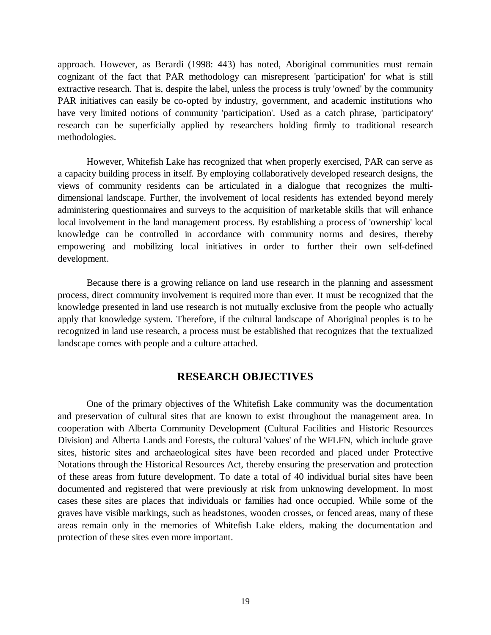approach. However, as Berardi (1998: 443) has noted, Aboriginal communities must remain cognizant of the fact that PAR methodology can misrepresent 'participation' for what is still extractive research. That is, despite the label, unless the process is truly 'owned' by the community PAR initiatives can easily be co-opted by industry, government, and academic institutions who have very limited notions of community 'participation'. Used as a catch phrase, 'participatory' research can be superficially applied by researchers holding firmly to traditional research methodologies.

However, Whitefish Lake has recognized that when properly exercised, PAR can serve as a capacity building process in itself. By employing collaboratively developed research designs, the views of community residents can be articulated in a dialogue that recognizes the multidimensional landscape. Further, the involvement of local residents has extended beyond merely administering questionnaires and surveys to the acquisition of marketable skills that will enhance local involvement in the land management process. By establishing a process of 'ownership' local knowledge can be controlled in accordance with community norms and desires, thereby empowering and mobilizing local initiatives in order to further their own self-defined development.

Because there is a growing reliance on land use research in the planning and assessment process, direct community involvement is required more than ever. It must be recognized that the knowledge presented in land use research is not mutually exclusive from the people who actually apply that knowledge system. Therefore, if the cultural landscape of Aboriginal peoples is to be recognized in land use research, a process must be established that recognizes that the textualized landscape comes with people and a culture attached.

# **RESEARCH OBJECTIVES**

One of the primary objectives of the Whitefish Lake community was the documentation and preservation of cultural sites that are known to exist throughout the management area. In cooperation with Alberta Community Development (Cultural Facilities and Historic Resources Division) and Alberta Lands and Forests, the cultural 'values' of the WFLFN, which include grave sites, historic sites and archaeological sites have been recorded and placed under Protective Notations through the Historical Resources Act, thereby ensuring the preservation and protection of these areas from future development. To date a total of 40 individual burial sites have been documented and registered that were previously at risk from unknowing development. In most cases these sites are places that individuals or families had once occupied. While some of the graves have visible markings, such as headstones, wooden crosses, or fenced areas, many of these areas remain only in the memories of Whitefish Lake elders, making the documentation and protection of these sites even more important.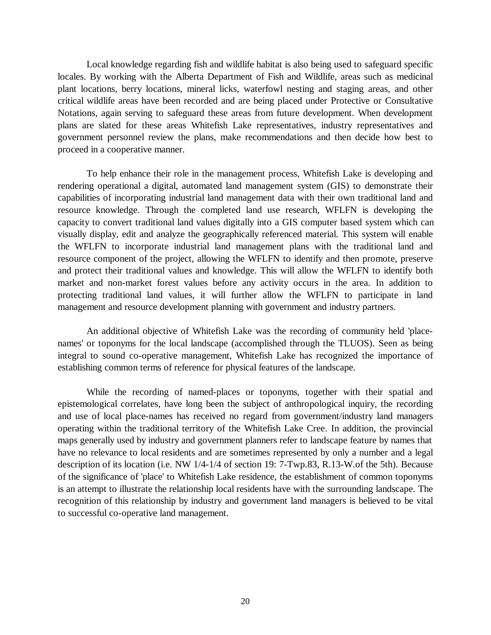Local knowledge regarding fish and wildlife habitat is also being used to safeguard specific locales. By working with the Alberta Department of Fish and Wildlife, areas such as medicinal plant locations, berry locations, mineral licks, waterfowl nesting and staging areas, and other critical wildlife areas have been recorded and are being placed under Protective or Consultative Notations, again serving to safeguard these areas from future development. When development plans are slated for these areas Whitefish Lake representatives, industry representatives and government personnel review the plans, make recommendations and then decide how best to proceed in a cooperative manner.

To help enhance their role in the management process, Whitefish Lake is developing and rendering operational a digital, automated land management system (GIS) to demonstrate their capabilities of incorporating industrial land management data with their own traditional land and resource knowledge. Through the completed land use research, WFLFN is developing the capacity to convert traditional land values digitally into a GIS computer based system which can visually display, edit and analyze the geographically referenced material. This system will enable the WFLFN to incorporate industrial land management plans with the traditional land and resource component of the project, allowing the WFLFN to identify and then promote, preserve and protect their traditional values and knowledge. This will allow the WFLFN to identify both market and non-market forest values before any activity occurs in the area. In addition to protecting traditional land values, it will further allow the WFLFN to participate in land management and resource development planning with government and industry partners.

An additional objective of Whitefish Lake was the recording of community held 'placenames' or toponyms for the local landscape (accomplished through the TLUOS). Seen as being integral to sound co-operative management, Whitefish Lake has recognized the importance of establishing common terms of reference for physical features of the landscape.

While the recording of named-places or toponyms, together with their spatial and epistemological correlates, have long been the subject of anthropological inquiry, the recording and use of local place-names has received no regard from government/industry land managers operating within the traditional territory of the Whitefish Lake Cree. In addition, the provincial maps generally used by industry and government planners refer to landscape feature by names that have no relevance to local residents and are sometimes represented by only a number and a legal description of its location (i.e. NW 1/4-1/4 of section 19: 7-Twp.83, R.13-W.of the 5th). Because of the significance of 'place' to Whitefish Lake residence, the establishment of common toponyms is an attempt to illustrate the relationship local residents have with the surrounding landscape. The recognition of this relationship by industry and government land managers is believed to be vital to successful co-operative land management.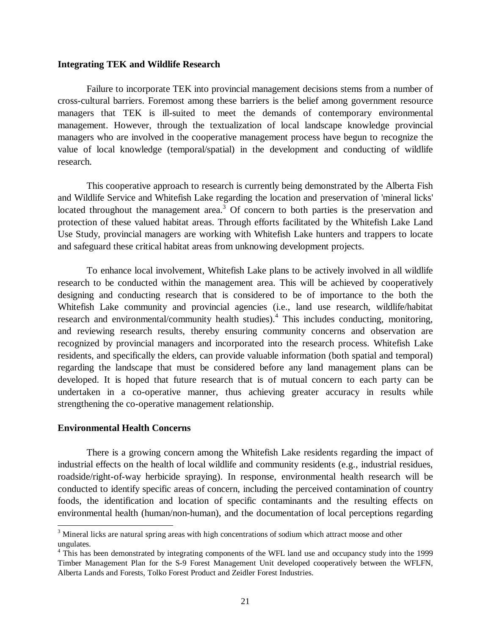#### **Integrating TEK and Wildlife Research**

Failure to incorporate TEK into provincial management decisions stems from a number of cross-cultural barriers. Foremost among these barriers is the belief among government resource managers that TEK is ill-suited to meet the demands of contemporary environmental management. However, through the textualization of local landscape knowledge provincial managers who are involved in the cooperative management process have begun to recognize the value of local knowledge (temporal/spatial) in the development and conducting of wildlife research.

This cooperative approach to research is currently being demonstrated by the Alberta Fish and Wildlife Service and Whitefish Lake regarding the location and preservation of 'mineral licks' located throughout the management area.<sup>3</sup> Of concern to both parties is the preservation and protection of these valued habitat areas. Through efforts facilitated by the Whitefish Lake Land Use Study, provincial managers are working with Whitefish Lake hunters and trappers to locate and safeguard these critical habitat areas from unknowing development projects.

To enhance local involvement, Whitefish Lake plans to be actively involved in all wildlife research to be conducted within the management area. This will be achieved by cooperatively designing and conducting research that is considered to be of importance to the both the Whitefish Lake community and provincial agencies (i.e., land use research, wildlife/habitat research and environmental/community health studies).<sup>4</sup> This includes conducting, monitoring, and reviewing research results, thereby ensuring community concerns and observation are recognized by provincial managers and incorporated into the research process. Whitefish Lake residents, and specifically the elders, can provide valuable information (both spatial and temporal) regarding the landscape that must be considered before any land management plans can be developed. It is hoped that future research that is of mutual concern to each party can be undertaken in a co-operative manner, thus achieving greater accuracy in results while strengthening the co-operative management relationship.

#### **Environmental Health Concerns**

 $\overline{a}$ 

There is a growing concern among the Whitefish Lake residents regarding the impact of industrial effects on the health of local wildlife and community residents (e.g., industrial residues, roadside/right-of-way herbicide spraying). In response, environmental health research will be conducted to identify specific areas of concern, including the perceived contamination of country foods, the identification and location of specific contaminants and the resulting effects on environmental health (human/non-human), and the documentation of local perceptions regarding

 $3$  Mineral licks are natural spring areas with high concentrations of sodium which attract moose and other ungulates.

<sup>&</sup>lt;sup>4</sup> This has been demonstrated by integrating components of the WFL land use and occupancy study into the 1999 Timber Management Plan for the S-9 Forest Management Unit developed cooperatively between the WFLFN, Alberta Lands and Forests, Tolko Forest Product and Zeidler Forest Industries.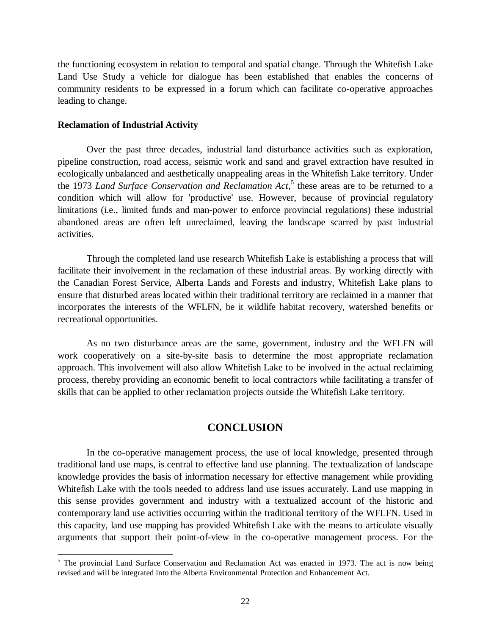the functioning ecosystem in relation to temporal and spatial change. Through the Whitefish Lake Land Use Study a vehicle for dialogue has been established that enables the concerns of community residents to be expressed in a forum which can facilitate co-operative approaches leading to change.

#### **Reclamation of Industrial Activity**

Over the past three decades, industrial land disturbance activities such as exploration, pipeline construction, road access, seismic work and sand and gravel extraction have resulted in ecologically unbalanced and aesthetically unappealing areas in the Whitefish Lake territory. Under the 1973 *Land Surface Conservation and Reclamation Act*, 5 these areas are to be returned to a condition which will allow for 'productive' use. However, because of provincial regulatory limitations (i.e., limited funds and man-power to enforce provincial regulations) these industrial abandoned areas are often left unreclaimed, leaving the landscape scarred by past industrial activities.

Through the completed land use research Whitefish Lake is establishing a process that will facilitate their involvement in the reclamation of these industrial areas. By working directly with the Canadian Forest Service, Alberta Lands and Forests and industry, Whitefish Lake plans to ensure that disturbed areas located within their traditional territory are reclaimed in a manner that incorporates the interests of the WFLFN, be it wildlife habitat recovery, watershed benefits or recreational opportunities.

As no two disturbance areas are the same, government, industry and the WFLFN will work cooperatively on a site-by-site basis to determine the most appropriate reclamation approach. This involvement will also allow Whitefish Lake to be involved in the actual reclaiming process, thereby providing an economic benefit to local contractors while facilitating a transfer of skills that can be applied to other reclamation projects outside the Whitefish Lake territory.

# **CONCLUSION**

In the co-operative management process, the use of local knowledge, presented through traditional land use maps, is central to effective land use planning. The textualization of landscape knowledge provides the basis of information necessary for effective management while providing Whitefish Lake with the tools needed to address land use issues accurately. Land use mapping in this sense provides government and industry with a textualized account of the historic and contemporary land use activities occurring within the traditional territory of the WFLFN. Used in this capacity, land use mapping has provided Whitefish Lake with the means to articulate visually arguments that support their point-of-view in the co-operative management process. For the

<sup>&</sup>lt;sup>5</sup> The provincial Land Surface Conservation and Reclamation Act was enacted in 1973. The act is now being revised and will be integrated into the Alberta Environmental Protection and Enhancement Act.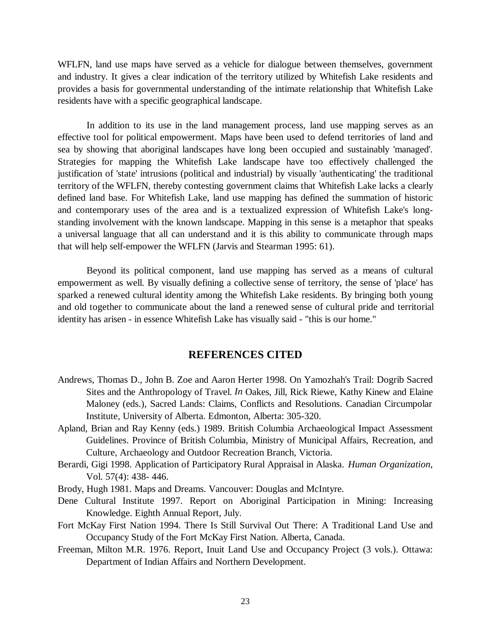WFLFN, land use maps have served as a vehicle for dialogue between themselves, government and industry. It gives a clear indication of the territory utilized by Whitefish Lake residents and provides a basis for governmental understanding of the intimate relationship that Whitefish Lake residents have with a specific geographical landscape.

In addition to its use in the land management process, land use mapping serves as an effective tool for political empowerment. Maps have been used to defend territories of land and sea by showing that aboriginal landscapes have long been occupied and sustainably 'managed'. Strategies for mapping the Whitefish Lake landscape have too effectively challenged the justification of 'state' intrusions (political and industrial) by visually 'authenticating' the traditional territory of the WFLFN, thereby contesting government claims that Whitefish Lake lacks a clearly defined land base. For Whitefish Lake, land use mapping has defined the summation of historic and contemporary uses of the area and is a textualized expression of Whitefish Lake's longstanding involvement with the known landscape. Mapping in this sense is a metaphor that speaks a universal language that all can understand and it is this ability to communicate through maps that will help self-empower the WFLFN (Jarvis and Stearman 1995: 61).

Beyond its political component, land use mapping has served as a means of cultural empowerment as well. By visually defining a collective sense of territory, the sense of 'place' has sparked a renewed cultural identity among the Whitefish Lake residents. By bringing both young and old together to communicate about the land a renewed sense of cultural pride and territorial identity has arisen - in essence Whitefish Lake has visually said - "this is our home."

## **REFERENCES CITED**

- Andrews, Thomas D., John B. Zoe and Aaron Herter 1998. On Yamozhah's Trail: Dogrib Sacred Sites and the Anthropology of Travel. *In* Oakes, Jill, Rick Riewe, Kathy Kinew and Elaine Maloney (eds.), Sacred Lands: Claims, Conflicts and Resolutions. Canadian Circumpolar Institute, University of Alberta. Edmonton, Alberta: 305-320.
- Apland, Brian and Ray Kenny (eds.) 1989. British Columbia Archaeological Impact Assessment Guidelines. Province of British Columbia, Ministry of Municipal Affairs, Recreation, and Culture, Archaeology and Outdoor Recreation Branch, Victoria.
- Berardi, Gigi 1998. Application of Participatory Rural Appraisal in Alaska. *Human Organization*, Vol. 57(4): 438- 446.
- Brody, Hugh 1981. Maps and Dreams. Vancouver: Douglas and McIntyre.
- Dene Cultural Institute 1997. Report on Aboriginal Participation in Mining: Increasing Knowledge. Eighth Annual Report, July.
- Fort McKay First Nation 1994. There Is Still Survival Out There: A Traditional Land Use and Occupancy Study of the Fort McKay First Nation. Alberta, Canada.
- Freeman, Milton M.R. 1976. Report, Inuit Land Use and Occupancy Project (3 vols.). Ottawa: Department of Indian Affairs and Northern Development.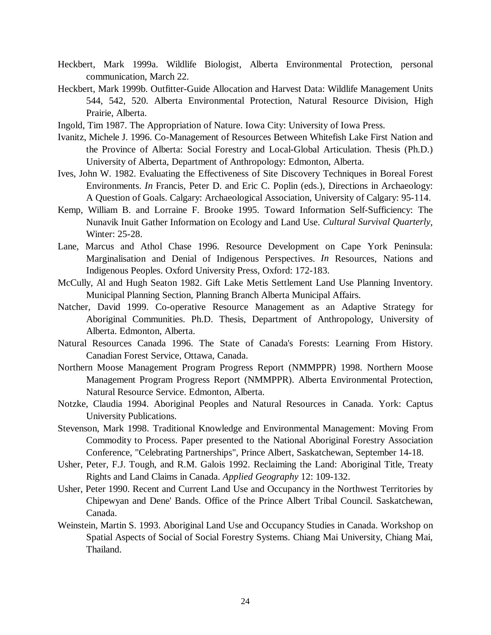- Heckbert, Mark 1999a. Wildlife Biologist, Alberta Environmental Protection, personal communication, March 22.
- Heckbert, Mark 1999b. Outfitter-Guide Allocation and Harvest Data: Wildlife Management Units 544, 542, 520. Alberta Environmental Protection, Natural Resource Division, High Prairie, Alberta.
- Ingold, Tim 1987. The Appropriation of Nature. Iowa City: University of Iowa Press.
- Ivanitz, Michele J. 1996. Co-Management of Resources Between Whitefish Lake First Nation and the Province of Alberta: Social Forestry and Local-Global Articulation. Thesis (Ph.D.) University of Alberta, Department of Anthropology: Edmonton, Alberta.
- Ives, John W. 1982. Evaluating the Effectiveness of Site Discovery Techniques in Boreal Forest Environments. *In* Francis, Peter D. and Eric C. Poplin (eds.), Directions in Archaeology: A Question of Goals. Calgary: Archaeological Association, University of Calgary: 95-114.
- Kemp, William B. and Lorraine F. Brooke 1995. Toward Information Self-Sufficiency: The Nunavik Inuit Gather Information on Ecology and Land Use. *Cultural Survival Quarterly*, Winter: 25-28.
- Lane, Marcus and Athol Chase 1996. Resource Development on Cape York Peninsula: Marginalisation and Denial of Indigenous Perspectives. *In* Resources, Nations and Indigenous Peoples. Oxford University Press, Oxford: 172-183.
- McCully, Al and Hugh Seaton 1982. Gift Lake Metis Settlement Land Use Planning Inventory. Municipal Planning Section, Planning Branch Alberta Municipal Affairs.
- Natcher, David 1999. Co-operative Resource Management as an Adaptive Strategy for Aboriginal Communities. Ph.D. Thesis, Department of Anthropology, University of Alberta. Edmonton, Alberta.
- Natural Resources Canada 1996. The State of Canada's Forests: Learning From History. Canadian Forest Service, Ottawa, Canada.
- Northern Moose Management Program Progress Report (NMMPPR) 1998. Northern Moose Management Program Progress Report (NMMPPR). Alberta Environmental Protection, Natural Resource Service. Edmonton, Alberta.
- Notzke, Claudia 1994. Aboriginal Peoples and Natural Resources in Canada. York: Captus University Publications.
- Stevenson, Mark 1998. Traditional Knowledge and Environmental Management: Moving From Commodity to Process. Paper presented to the National Aboriginal Forestry Association Conference, "Celebrating Partnerships", Prince Albert, Saskatchewan, September 14-18.
- Usher, Peter, F.J. Tough, and R.M. Galois 1992. Reclaiming the Land: Aboriginal Title, Treaty Rights and Land Claims in Canada. *Applied Geography* 12: 109-132.
- Usher, Peter 1990. Recent and Current Land Use and Occupancy in the Northwest Territories by Chipewyan and Dene' Bands. Office of the Prince Albert Tribal Council. Saskatchewan, Canada.
- Weinstein, Martin S. 1993. Aboriginal Land Use and Occupancy Studies in Canada. Workshop on Spatial Aspects of Social of Social Forestry Systems. Chiang Mai University, Chiang Mai, Thailand.